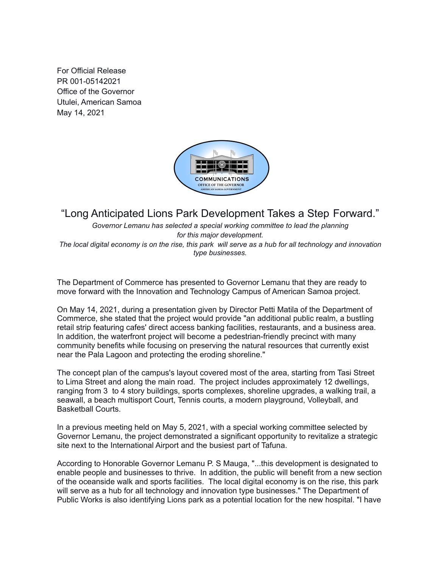For Official Release PR 001-05142021 Office of the Governor Utulei, American Samoa May 14, 2021



## "Long Anticipated Lions Park Development Takes a Step Forward."

*Governor Lemanu has selected a special working committee to lead the planning for this major development.* The local digital economy is on the rise, this park will serve as a hub for all technology and innovation *type businesses.*

The Department of Commerce has presented to Governor Lemanu that they are ready to move forward with the Innovation and Technology Campus of American Samoa project.

On May 14, 2021, during a presentation given by Director Petti Matila of the Department of Commerce, she stated that the project would provide "an additional public realm, a bustling retail strip featuring cafes' direct access banking facilities, restaurants, and a business area. In addition, the waterfront project will become a pedestrian-friendly precinct with many community benefits while focusing on preserving the natural resources that currently exist near the Pala Lagoon and protecting the eroding shoreline."

The concept plan of the campus's layout covered most of the area, starting from Tasi Street to Lima Street and along the main road. The project includes approximately 12 dwellings, ranging from 3 to 4 story buildings, sports complexes, shoreline upgrades, a walking trail, a seawall, a beach multisport Court, Tennis courts, a modern playground, Volleyball, and Basketball Courts.

In a previous meeting held on May 5, 2021, with a special working committee selected by Governor Lemanu, the project demonstrated a significant opportunity to revitalize a strategic site next to the International Airport and the busiest part of Tafuna.

According to Honorable Governor Lemanu P. S Mauga, "...this development is designated to enable people and businesses to thrive. In addition, the public will benefit from a new section of the oceanside walk and sports facilities. The local digital economy is on the rise, this park will serve as a hub for all technology and innovation type businesses." The Department of Public Works is also identifying Lions park as a potential location for the new hospital. "I have